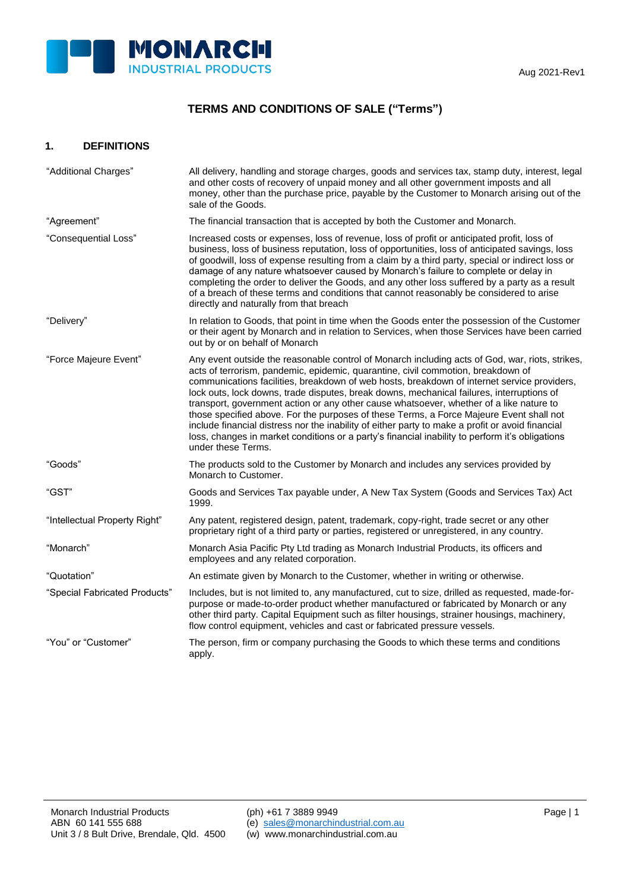

# **TERMS AND CONDITIONS OF SALE ("Terms")**

## **1. DEFINITIONS**

| "Additional Charges"          | All delivery, handling and storage charges, goods and services tax, stamp duty, interest, legal<br>and other costs of recovery of unpaid money and all other government imposts and all<br>money, other than the purchase price, payable by the Customer to Monarch arising out of the<br>sale of the Goods.                                                                                                                                                                                                                                                                                                                                                                                                                                                                                       |
|-------------------------------|----------------------------------------------------------------------------------------------------------------------------------------------------------------------------------------------------------------------------------------------------------------------------------------------------------------------------------------------------------------------------------------------------------------------------------------------------------------------------------------------------------------------------------------------------------------------------------------------------------------------------------------------------------------------------------------------------------------------------------------------------------------------------------------------------|
| "Agreement"                   | The financial transaction that is accepted by both the Customer and Monarch.                                                                                                                                                                                                                                                                                                                                                                                                                                                                                                                                                                                                                                                                                                                       |
| "Consequential Loss"          | Increased costs or expenses, loss of revenue, loss of profit or anticipated profit, loss of<br>business, loss of business reputation, loss of opportunities, loss of anticipated savings, loss<br>of goodwill, loss of expense resulting from a claim by a third party, special or indirect loss or<br>damage of any nature whatsoever caused by Monarch's failure to complete or delay in<br>completing the order to deliver the Goods, and any other loss suffered by a party as a result<br>of a breach of these terms and conditions that cannot reasonably be considered to arise<br>directly and naturally from that breach                                                                                                                                                                  |
| "Delivery"                    | In relation to Goods, that point in time when the Goods enter the possession of the Customer<br>or their agent by Monarch and in relation to Services, when those Services have been carried<br>out by or on behalf of Monarch                                                                                                                                                                                                                                                                                                                                                                                                                                                                                                                                                                     |
| "Force Majeure Event"         | Any event outside the reasonable control of Monarch including acts of God, war, riots, strikes,<br>acts of terrorism, pandemic, epidemic, quarantine, civil commotion, breakdown of<br>communications facilities, breakdown of web hosts, breakdown of internet service providers,<br>lock outs, lock downs, trade disputes, break downs, mechanical failures, interruptions of<br>transport, government action or any other cause whatsoever, whether of a like nature to<br>those specified above. For the purposes of these Terms, a Force Majeure Event shall not<br>include financial distress nor the inability of either party to make a profit or avoid financial<br>loss, changes in market conditions or a party's financial inability to perform it's obligations<br>under these Terms. |
| "Goods"                       | The products sold to the Customer by Monarch and includes any services provided by<br>Monarch to Customer.                                                                                                                                                                                                                                                                                                                                                                                                                                                                                                                                                                                                                                                                                         |
| "GST"                         | Goods and Services Tax payable under, A New Tax System (Goods and Services Tax) Act<br>1999.                                                                                                                                                                                                                                                                                                                                                                                                                                                                                                                                                                                                                                                                                                       |
| "Intellectual Property Right" | Any patent, registered design, patent, trademark, copy-right, trade secret or any other<br>proprietary right of a third party or parties, registered or unregistered, in any country.                                                                                                                                                                                                                                                                                                                                                                                                                                                                                                                                                                                                              |
| "Monarch"                     | Monarch Asia Pacific Pty Ltd trading as Monarch Industrial Products, its officers and<br>employees and any related corporation.                                                                                                                                                                                                                                                                                                                                                                                                                                                                                                                                                                                                                                                                    |
| "Quotation"                   | An estimate given by Monarch to the Customer, whether in writing or otherwise.                                                                                                                                                                                                                                                                                                                                                                                                                                                                                                                                                                                                                                                                                                                     |
| "Special Fabricated Products" | Includes, but is not limited to, any manufactured, cut to size, drilled as requested, made-for-<br>purpose or made-to-order product whether manufactured or fabricated by Monarch or any<br>other third party. Capital Equipment such as filter housings, strainer housings, machinery,<br>flow control equipment, vehicles and cast or fabricated pressure vessels.                                                                                                                                                                                                                                                                                                                                                                                                                               |
| "You" or "Customer"           | The person, firm or company purchasing the Goods to which these terms and conditions<br>apply.                                                                                                                                                                                                                                                                                                                                                                                                                                                                                                                                                                                                                                                                                                     |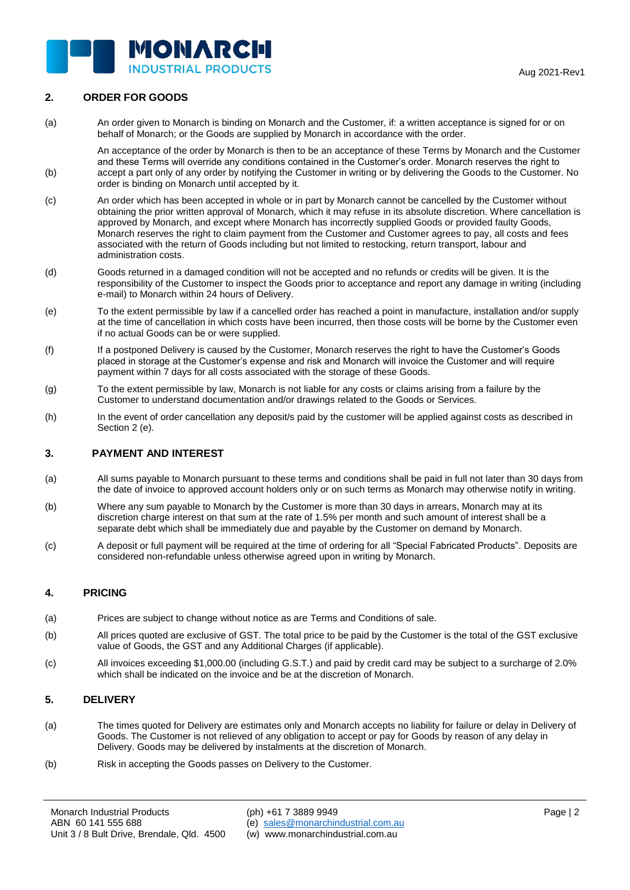

# **2. ORDER FOR GOODS**

(b)

(a) An order given to Monarch is binding on Monarch and the Customer, if: a written acceptance is signed for or on behalf of Monarch; or the Goods are supplied by Monarch in accordance with the order.

An acceptance of the order by Monarch is then to be an acceptance of these Terms by Monarch and the Customer and these Terms will override any conditions contained in the Customer's order. Monarch reserves the right to accept a part only of any order by notifying the Customer in writing or by delivering the Goods to the Customer. No order is binding on Monarch until accepted by it.

- (c) An order which has been accepted in whole or in part by Monarch cannot be cancelled by the Customer without obtaining the prior written approval of Monarch, which it may refuse in its absolute discretion. Where cancellation is approved by Monarch, and except where Monarch has incorrectly supplied Goods or provided faulty Goods, Monarch reserves the right to claim payment from the Customer and Customer agrees to pay, all costs and fees associated with the return of Goods including but not limited to restocking, return transport, labour and administration costs.
- (d) Goods returned in a damaged condition will not be accepted and no refunds or credits will be given. It is the responsibility of the Customer to inspect the Goods prior to acceptance and report any damage in writing (including e-mail) to Monarch within 24 hours of Delivery.
- (e) To the extent permissible by law if a cancelled order has reached a point in manufacture, installation and/or supply at the time of cancellation in which costs have been incurred, then those costs will be borne by the Customer even if no actual Goods can be or were supplied.
- (f) If a postponed Delivery is caused by the Customer, Monarch reserves the right to have the Customer's Goods placed in storage at the Customer's expense and risk and Monarch will invoice the Customer and will require payment within 7 days for all costs associated with the storage of these Goods.
- (g) To the extent permissible by law, Monarch is not liable for any costs or claims arising from a failure by the Customer to understand documentation and/or drawings related to the Goods or Services.
- (h) In the event of order cancellation any deposit/s paid by the customer will be applied against costs as described in Section 2 (e).

#### **3. PAYMENT AND INTEREST**

- (a) All sums payable to Monarch pursuant to these terms and conditions shall be paid in full not later than 30 days from the date of invoice to approved account holders only or on such terms as Monarch may otherwise notify in writing.
- (b) Where any sum payable to Monarch by the Customer is more than 30 days in arrears, Monarch may at its discretion charge interest on that sum at the rate of 1.5% per month and such amount of interest shall be a separate debt which shall be immediately due and payable by the Customer on demand by Monarch.
- (c) A deposit or full payment will be required at the time of ordering for all "Special Fabricated Products". Deposits are considered non-refundable unless otherwise agreed upon in writing by Monarch.

#### **4. PRICING**

- (a) Prices are subject to change without notice as are Terms and Conditions of sale.
- (b) All prices quoted are exclusive of GST. The total price to be paid by the Customer is the total of the GST exclusive value of Goods, the GST and any Additional Charges (if applicable).
- (c) All invoices exceeding \$1,000.00 (including G.S.T.) and paid by credit card may be subject to a surcharge of 2.0% which shall be indicated on the invoice and be at the discretion of Monarch.

#### **5. DELIVERY**

- (a) The times quoted for Delivery are estimates only and Monarch accepts no liability for failure or delay in Delivery of Goods. The Customer is not relieved of any obligation to accept or pay for Goods by reason of any delay in Delivery. Goods may be delivered by instalments at the discretion of Monarch.
- (b) Risk in accepting the Goods passes on Delivery to the Customer.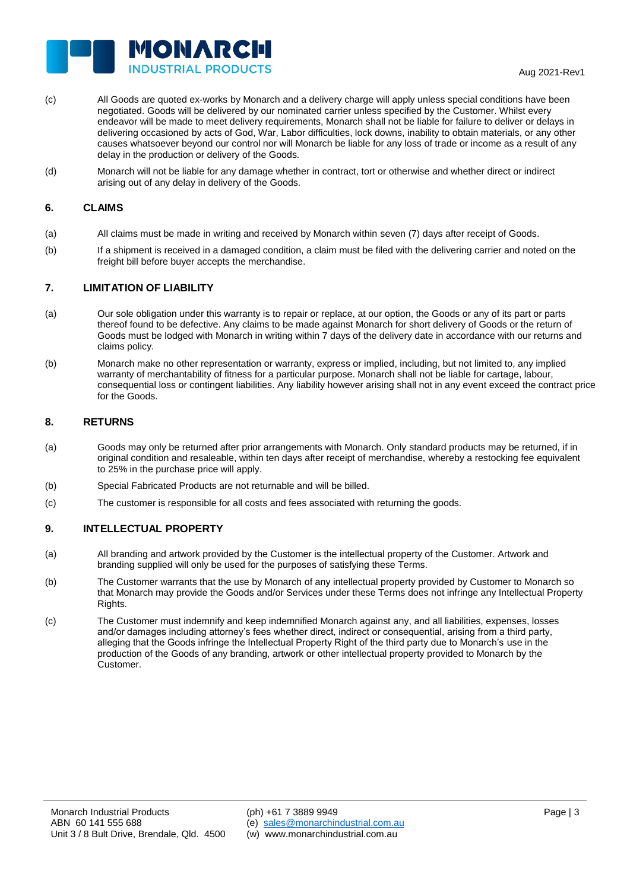

- (c) All Goods are quoted ex-works by Monarch and a delivery charge will apply unless special conditions have been negotiated. Goods will be delivered by our nominated carrier unless specified by the Customer. Whilst every endeavor will be made to meet delivery requirements, Monarch shall not be liable for failure to deliver or delays in delivering occasioned by acts of God, War, Labor difficulties, lock downs, inability to obtain materials, or any other causes whatsoever beyond our control nor will Monarch be liable for any loss of trade or income as a result of any delay in the production or delivery of the Goods.
- (d) Monarch will not be liable for any damage whether in contract, tort or otherwise and whether direct or indirect arising out of any delay in delivery of the Goods.

#### **6. CLAIMS**

- (a) All claims must be made in writing and received by Monarch within seven (7) days after receipt of Goods.
- (b) If a shipment is received in a damaged condition, a claim must be filed with the delivering carrier and noted on the freight bill before buyer accepts the merchandise.

#### **7. LIMITATION OF LIABILITY**

- (a) Our sole obligation under this warranty is to repair or replace, at our option, the Goods or any of its part or parts thereof found to be defective. Any claims to be made against Monarch for short delivery of Goods or the return of Goods must be lodged with Monarch in writing within 7 days of the delivery date in accordance with our returns and claims policy.
- (b) Monarch make no other representation or warranty, express or implied, including, but not limited to, any implied warranty of merchantability of fitness for a particular purpose. Monarch shall not be liable for cartage, labour, consequential loss or contingent liabilities. Any liability however arising shall not in any event exceed the contract price for the Goods.

#### **8. RETURNS**

- (a) Goods may only be returned after prior arrangements with Monarch. Only standard products may be returned, if in original condition and resaleable, within ten days after receipt of merchandise, whereby a restocking fee equivalent to 25% in the purchase price will apply.
- (b) Special Fabricated Products are not returnable and will be billed.
- (c) The customer is responsible for all costs and fees associated with returning the goods.

#### **9. INTELLECTUAL PROPERTY**

- (a) All branding and artwork provided by the Customer is the intellectual property of the Customer. Artwork and branding supplied will only be used for the purposes of satisfying these Terms.
- (b) The Customer warrants that the use by Monarch of any intellectual property provided by Customer to Monarch so that Monarch may provide the Goods and/or Services under these Terms does not infringe any Intellectual Property Rights.
- (c) The Customer must indemnify and keep indemnified Monarch against any, and all liabilities, expenses, losses and/or damages including attorney's fees whether direct, indirect or consequential, arising from a third party, alleging that the Goods infringe the Intellectual Property Right of the third party due to Monarch's use in the production of the Goods of any branding, artwork or other intellectual property provided to Monarch by the Customer.